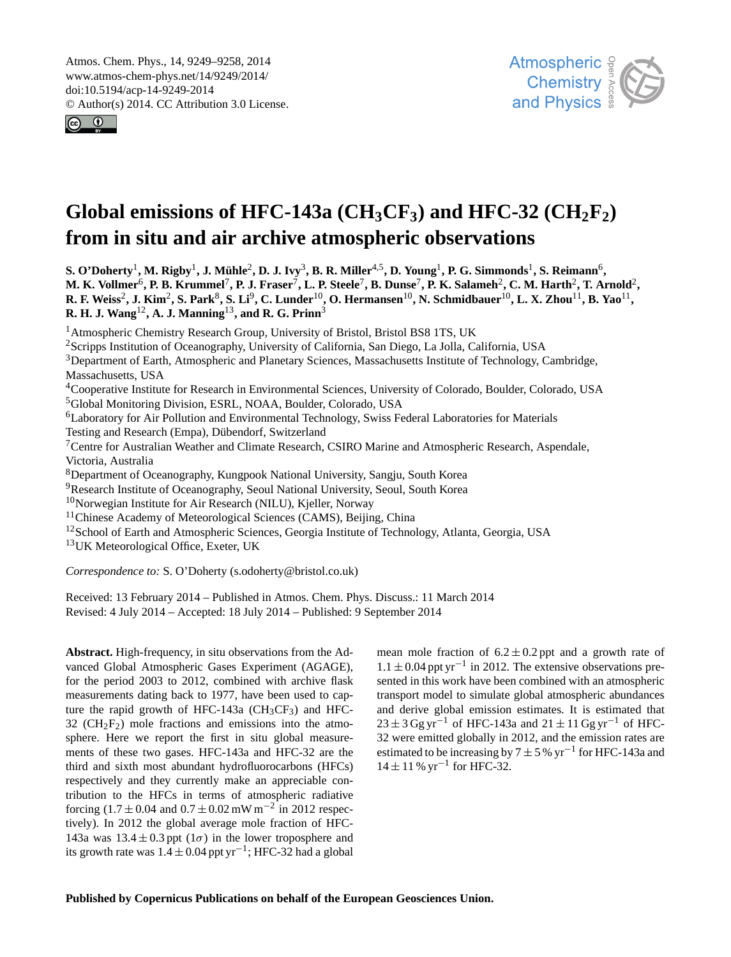<span id="page-0-0"></span>Atmos. Chem. Phys., 14, 9249–9258, 2014 www.atmos-chem-phys.net/14/9249/2014/ doi:10.5194/acp-14-9249-2014 © Author(s) 2014. CC Attribution 3.0 License.





# Global emissions of HFC-143a ( $CH_3CF_3$ ) and HFC-32 ( $CH_2F_2$ ) **from in situ and air archive atmospheric observations**

 ${\bf S.~O'Doherty^1,~M.~Rigby^1,~J.~Mühle^2,~D.~J.~Ivy^3,~B.~R.~Miller^{4,5},~D.~Young^1,~P.~G.~Simmonds^1,~S.~Reimann^6,~M.~Rigby^2,~M.~Rigby^3,~M.~IVy^3,~B.~R.~Miller^{4,5},~D.~Young^{1},~P.~G.~Simmonds^{1},~S.~Reimann^{6},~M.~Rigby^{1},~M.~Rigby^{2},~M.~IVy^3,~B.~R.~Miller^{4,5},~D.~Young^{1},~P$ M. K. Vollmer<sup>6</sup>, P. B. Krummel<sup>7</sup>, P. J. Fraser<sup>7</sup>, L. P. Steele<sup>7</sup>, B. Dunse<sup>7</sup>, P. K. Salameh<sup>2</sup>, C. M. Harth<sup>2</sup>, T. Arnold<sup>2</sup>,  $R$ . F. Weiss<sup>2</sup>, J. Kim<sup>2</sup>, S. Park<sup>8</sup>, S. Li<sup>9</sup>, C. Lunder<sup>10</sup>, O. Hermansen<sup>10</sup>, N. Schmidbauer<sup>10</sup>, L. X. Zhou<sup>11</sup>, B. Yao<sup>11</sup>, **R. H. J. Wang**12**, A. J. Manning**13**, and R. G. Prinn**<sup>3</sup>

<sup>1</sup> Atmospheric Chemistry Research Group, University of Bristol, Bristol BS8 1TS, UK

<sup>2</sup>Scripps Institution of Oceanography, University of California, San Diego, La Jolla, California, USA

<sup>3</sup>Department of Earth, Atmospheric and Planetary Sciences, Massachusetts Institute of Technology, Cambridge, Massachusetts, USA

<sup>4</sup>Cooperative Institute for Research in Environmental Sciences, University of Colorado, Boulder, Colorado, USA <sup>5</sup>Global Monitoring Division, ESRL, NOAA, Boulder, Colorado, USA

<sup>6</sup>Laboratory for Air Pollution and Environmental Technology, Swiss Federal Laboratories for Materials

Testing and Research (Empa), Dübendorf, Switzerland

<sup>7</sup>Centre for Australian Weather and Climate Research, CSIRO Marine and Atmospheric Research, Aspendale, Victoria, Australia

<sup>8</sup>Department of Oceanography, Kungpook National University, Sangju, South Korea

<sup>9</sup>Research Institute of Oceanography, Seoul National University, Seoul, South Korea

 $10$ Norwegian Institute for Air Research (NILU), Kjeller, Norway

<sup>11</sup>Chinese Academy of Meteorological Sciences (CAMS), Beijing, China

<sup>12</sup>School of Earth and Atmospheric Sciences, Georgia Institute of Technology, Atlanta, Georgia, USA

<sup>13</sup>UK Meteorological Office, Exeter, UK

*Correspondence to:* S. O'Doherty (s.odoherty@bristol.co.uk)

Received: 13 February 2014 – Published in Atmos. Chem. Phys. Discuss.: 11 March 2014 Revised: 4 July 2014 – Accepted: 18 July 2014 – Published: 9 September 2014

**Abstract.** High-frequency, in situ observations from the Advanced Global Atmospheric Gases Experiment (AGAGE), for the period 2003 to 2012, combined with archive flask measurements dating back to 1977, have been used to capture the rapid growth of HFC-143a  $(CH_3CF_3)$  and HFC-32 ( $CH<sub>2</sub>F<sub>2</sub>$ ) mole fractions and emissions into the atmosphere. Here we report the first in situ global measurements of these two gases. HFC-143a and HFC-32 are the third and sixth most abundant hydrofluorocarbons (HFCs) respectively and they currently make an appreciable contribution to the HFCs in terms of atmospheric radiative forcing  $(1.7 \pm 0.04$  and  $0.7 \pm 0.02$  mW m<sup>-2</sup> in 2012 respectively). In 2012 the global average mole fraction of HFC-143a was  $13.4 \pm 0.3$  ppt  $(1\sigma)$  in the lower troposphere and its growth rate was  $1.4 \pm 0.04$  ppt yr<sup>-1</sup>; HFC-32 had a global

mean mole fraction of  $6.2 \pm 0.2$  ppt and a growth rate of 1.1 ± 0.04 ppt yr−<sup>1</sup> in 2012. The extensive observations presented in this work have been combined with an atmospheric transport model to simulate global atmospheric abundances and derive global emission estimates. It is estimated that  $23 \pm 3$  Gg yr<sup>-1</sup> of HFC-143a and  $21 \pm 11$  Gg yr<sup>-1</sup> of HFC-32 were emitted globally in 2012, and the emission rates are estimated to be increasing by  $7 \pm 5$  % yr<sup>-1</sup> for HFC-143a and  $14 \pm 11$  % yr<sup>-1</sup> for HFC-32.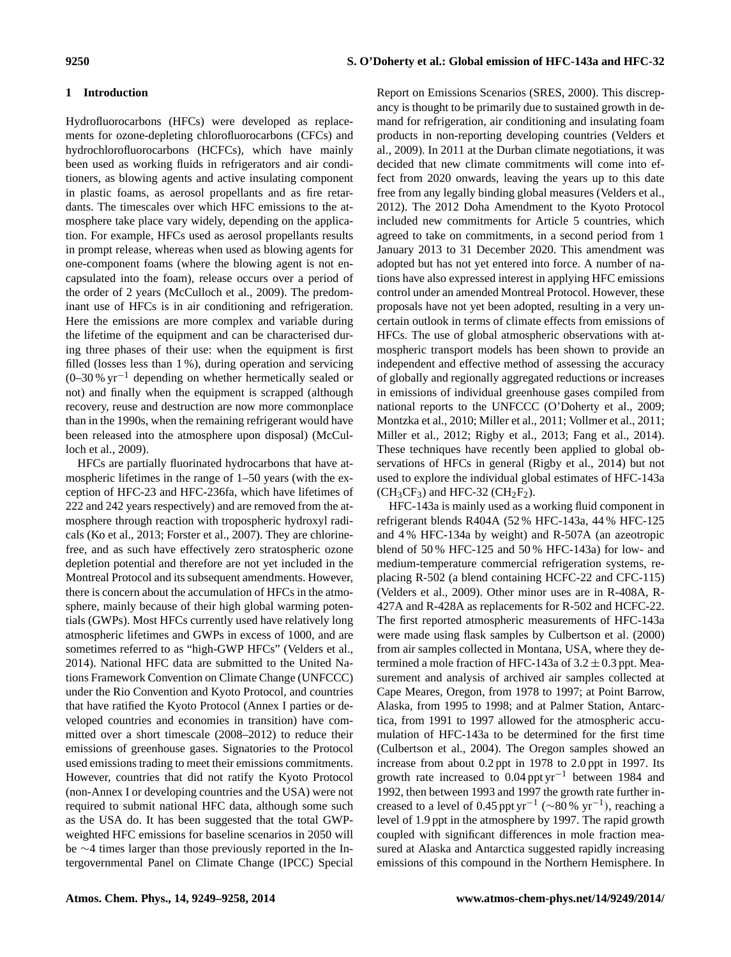# **1 Introduction**

Hydrofluorocarbons (HFCs) were developed as replacements for ozone-depleting chlorofluorocarbons (CFCs) and hydrochlorofluorocarbons (HCFCs), which have mainly been used as working fluids in refrigerators and air conditioners, as blowing agents and active insulating component in plastic foams, as aerosol propellants and as fire retardants. The timescales over which HFC emissions to the atmosphere take place vary widely, depending on the application. For example, HFCs used as aerosol propellants results in prompt release, whereas when used as blowing agents for one-component foams (where the blowing agent is not encapsulated into the foam), release occurs over a period of the order of 2 years (McCulloch et al., 2009). The predominant use of HFCs is in air conditioning and refrigeration. Here the emissions are more complex and variable during the lifetime of the equipment and can be characterised during three phases of their use: when the equipment is first filled (losses less than 1 %), during operation and servicing (0–30 % yr−<sup>1</sup> depending on whether hermetically sealed or not) and finally when the equipment is scrapped (although recovery, reuse and destruction are now more commonplace than in the 1990s, when the remaining refrigerant would have been released into the atmosphere upon disposal) (McCulloch et al., 2009).

HFCs are partially fluorinated hydrocarbons that have atmospheric lifetimes in the range of 1–50 years (with the exception of HFC-23 and HFC-236fa, which have lifetimes of 222 and 242 years respectively) and are removed from the atmosphere through reaction with tropospheric hydroxyl radicals (Ko et al., 2013; Forster et al., 2007). They are chlorinefree, and as such have effectively zero stratospheric ozone depletion potential and therefore are not yet included in the Montreal Protocol and its subsequent amendments. However, there is concern about the accumulation of HFCs in the atmosphere, mainly because of their high global warming potentials (GWPs). Most HFCs currently used have relatively long atmospheric lifetimes and GWPs in excess of 1000, and are sometimes referred to as "high-GWP HFCs" (Velders et al., 2014). National HFC data are submitted to the United Nations Framework Convention on Climate Change (UNFCCC) under the Rio Convention and Kyoto Protocol, and countries that have ratified the Kyoto Protocol (Annex I parties or developed countries and economies in transition) have committed over a short timescale (2008–2012) to reduce their emissions of greenhouse gases. Signatories to the Protocol used emissions trading to meet their emissions commitments. However, countries that did not ratify the Kyoto Protocol (non-Annex I or developing countries and the USA) were not required to submit national HFC data, although some such as the USA do. It has been suggested that the total GWPweighted HFC emissions for baseline scenarios in 2050 will be ∼4 times larger than those previously reported in the Intergovernmental Panel on Climate Change (IPCC) Special

Report on Emissions Scenarios (SRES, 2000). This discrepancy is thought to be primarily due to sustained growth in demand for refrigeration, air conditioning and insulating foam products in non-reporting developing countries (Velders et al., 2009). In 2011 at the Durban climate negotiations, it was decided that new climate commitments will come into effect from 2020 onwards, leaving the years up to this date free from any legally binding global measures (Velders et al., 2012). The 2012 Doha Amendment to the Kyoto Protocol included new commitments for Article 5 countries, which agreed to take on commitments, in a second period from 1 January 2013 to 31 December 2020. This amendment was adopted but has not yet entered into force. A number of nations have also expressed interest in applying HFC emissions control under an amended Montreal Protocol. However, these proposals have not yet been adopted, resulting in a very uncertain outlook in terms of climate effects from emissions of HFCs. The use of global atmospheric observations with atmospheric transport models has been shown to provide an independent and effective method of assessing the accuracy of globally and regionally aggregated reductions or increases in emissions of individual greenhouse gases compiled from national reports to the UNFCCC (O'Doherty et al., 2009; Montzka et al., 2010; Miller et al., 2011; Vollmer et al., 2011; Miller et al., 2012; Rigby et al., 2013; Fang et al., 2014). These techniques have recently been applied to global observations of HFCs in general (Rigby et al., 2014) but not used to explore the individual global estimates of HFC-143a  $(CH_3CF_3)$  and HFC-32 (CH<sub>2</sub>F<sub>2</sub>).

HFC-143a is mainly used as a working fluid component in refrigerant blends R404A (52 % HFC-143a, 44 % HFC-125 and 4 % HFC-134a by weight) and R-507A (an azeotropic blend of 50 % HFC-125 and 50 % HFC-143a) for low- and medium-temperature commercial refrigeration systems, replacing R-502 (a blend containing HCFC-22 and CFC-115) (Velders et al., 2009). Other minor uses are in R-408A, R-427A and R-428A as replacements for R-502 and HCFC-22. The first reported atmospheric measurements of HFC-143a were made using flask samples by Culbertson et al. (2000) from air samples collected in Montana, USA, where they determined a mole fraction of HFC-143a of  $3.2 \pm 0.3$  ppt. Measurement and analysis of archived air samples collected at Cape Meares, Oregon, from 1978 to 1997; at Point Barrow, Alaska, from 1995 to 1998; and at Palmer Station, Antarctica, from 1991 to 1997 allowed for the atmospheric accumulation of HFC-143a to be determined for the first time (Culbertson et al., 2004). The Oregon samples showed an increase from about 0.2 ppt in 1978 to 2.0 ppt in 1997. Its growth rate increased to 0.04 ppt  $yr^{-1}$  between 1984 and 1992, then between 1993 and 1997 the growth rate further increased to a level of 0.45 ppt yr<sup>-1</sup> ( $\sim$ 80 % yr<sup>-1</sup>), reaching a level of 1.9 ppt in the atmosphere by 1997. The rapid growth coupled with significant differences in mole fraction measured at Alaska and Antarctica suggested rapidly increasing emissions of this compound in the Northern Hemisphere. In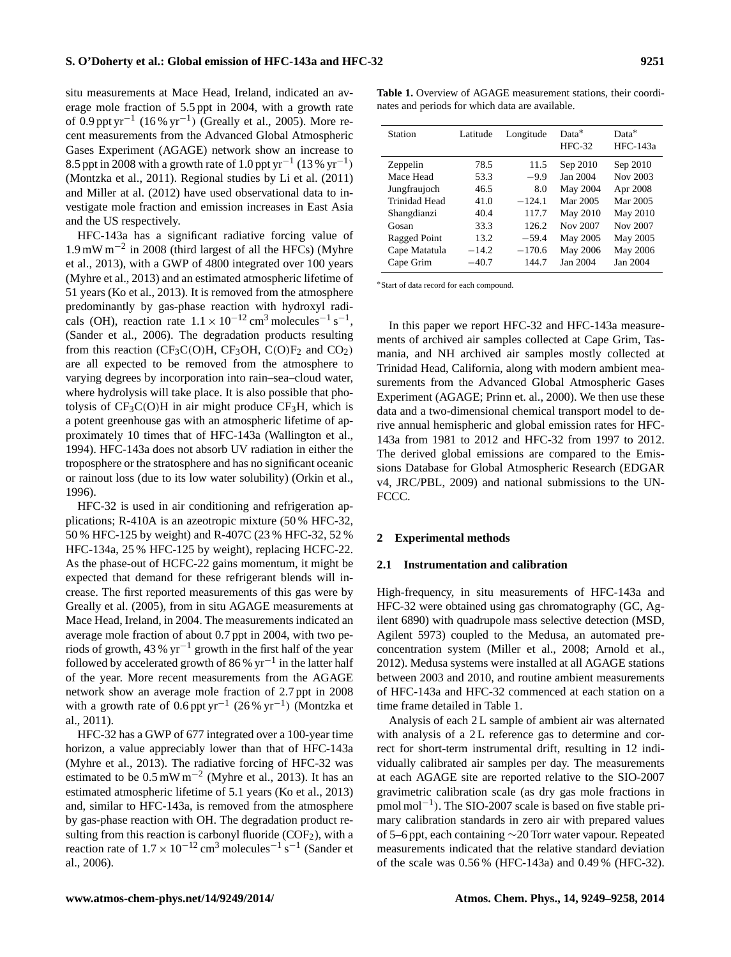situ measurements at Mace Head, Ireland, indicated an average mole fraction of 5.5 ppt in 2004, with a growth rate of 0.9 ppt yr<sup>-1</sup> (16% yr<sup>-1</sup>) (Greally et al., 2005). More recent measurements from the Advanced Global Atmospheric Gases Experiment (AGAGE) network show an increase to 8.5 ppt in 2008 with a growth rate of 1.0 ppt yr<sup>-1</sup> (13 % yr<sup>-1</sup>) (Montzka et al., 2011). Regional studies by Li et al. (2011) and Miller at al. (2012) have used observational data to investigate mole fraction and emission increases in East Asia and the US respectively.

HFC-143a has a significant radiative forcing value of 1.9 mW m−<sup>2</sup> in 2008 (third largest of all the HFCs) (Myhre et al., 2013), with a GWP of 4800 integrated over 100 years (Myhre et al., 2013) and an estimated atmospheric lifetime of 51 years (Ko et al., 2013). It is removed from the atmosphere predominantly by gas-phase reaction with hydroxyl radicals (OH), reaction rate  $1.1 \times 10^{-12}$  cm<sup>3</sup> molecules<sup>-1</sup> s<sup>-1</sup>, (Sander et al., 2006). The degradation products resulting from this reaction (CF<sub>3</sub>C(O)H, CF<sub>3</sub>OH, C(O)F<sub>2</sub> and CO<sub>2</sub>) are all expected to be removed from the atmosphere to varying degrees by incorporation into rain–sea–cloud water, where hydrolysis will take place. It is also possible that photolysis of  $CF_3C(O)H$  in air might produce  $CF_3H$ , which is a potent greenhouse gas with an atmospheric lifetime of approximately 10 times that of HFC-143a (Wallington et al., 1994). HFC-143a does not absorb UV radiation in either the troposphere or the stratosphere and has no significant oceanic or rainout loss (due to its low water solubility) (Orkin et al., 1996).

HFC-32 is used in air conditioning and refrigeration applications; R-410A is an azeotropic mixture (50 % HFC-32, 50 % HFC-125 by weight) and R-407C (23 % HFC-32, 52 % HFC-134a, 25 % HFC-125 by weight), replacing HCFC-22. As the phase-out of HCFC-22 gains momentum, it might be expected that demand for these refrigerant blends will increase. The first reported measurements of this gas were by Greally et al. (2005), from in situ AGAGE measurements at Mace Head, Ireland, in 2004. The measurements indicated an average mole fraction of about 0.7 ppt in 2004, with two periods of growth, 43 %  $yr^{-1}$  growth in the first half of the year followed by accelerated growth of 86%  $yr^{-1}$  in the latter half of the year. More recent measurements from the AGAGE network show an average mole fraction of 2.7 ppt in 2008 with a growth rate of  $0.6$  ppt yr<sup>-1</sup> (26% yr<sup>-1</sup>) (Montzka et al., 2011).

HFC-32 has a GWP of 677 integrated over a 100-year time horizon, a value appreciably lower than that of HFC-143a (Myhre et al., 2013). The radiative forcing of HFC-32 was estimated to be  $0.5 \text{ mW m}^{-2}$  (Myhre et al., 2013). It has an estimated atmospheric lifetime of 5.1 years (Ko et al., 2013) and, similar to HFC-143a, is removed from the atmosphere by gas-phase reaction with OH. The degradation product resulting from this reaction is carbonyl fluoride  $(COF<sub>2</sub>)$ , with a reaction rate of  $1.7 \times 10^{-12}$  cm<sup>3</sup> molecules<sup>-1</sup> s<sup>-1</sup> (Sander et al., 2006).

**Table 1.** Overview of AGAGE measurement stations, their coordinates and periods for which data are available.

| <b>Station</b> | Latitude | Longitude | $Data*$<br>$HFC-32$ | $Data*$<br>HFC-143a |
|----------------|----------|-----------|---------------------|---------------------|
| Zeppelin       | 78.5     | 11.5      | Sep 2010            | Sep 2010            |
| Mace Head      | 53.3     | $-9.9$    | Jan 2004            | Nov 2003            |
| Jungfraujoch   | 46.5     | 8.0       | May 2004            | Apr 2008            |
| Trinidad Head  | 41.0     | $-124.1$  | Mar 2005            | Mar 2005            |
| Shangdianzi    | 40.4     | 117.7     | May 2010            | May 2010            |
| Gosan          | 33.3     | 126.2     | Nov 2007            | Nov 2007            |
| Ragged Point   | 13.2     | $-59.4$   | May 2005            | May 2005            |
| Cape Matatula  | $-14.2$  | $-170.6$  | May 2006            | May 2006            |
| Cape Grim      | $-40.7$  | 144.7     | Jan 2004            | Jan 2004            |

<sup>∗</sup>Start of data record for each compound.

In this paper we report HFC-32 and HFC-143a measurements of archived air samples collected at Cape Grim, Tasmania, and NH archived air samples mostly collected at Trinidad Head, California, along with modern ambient measurements from the Advanced Global Atmospheric Gases Experiment (AGAGE; Prinn et. al., 2000). We then use these data and a two-dimensional chemical transport model to derive annual hemispheric and global emission rates for HFC-143a from 1981 to 2012 and HFC-32 from 1997 to 2012. The derived global emissions are compared to the Emissions Database for Global Atmospheric Research (EDGAR v4, JRC/PBL, 2009) and national submissions to the UN-FCCC.

### **2 Experimental methods**

## **2.1 Instrumentation and calibration**

High-frequency, in situ measurements of HFC-143a and HFC-32 were obtained using gas chromatography (GC, Agilent 6890) with quadrupole mass selective detection (MSD, Agilent 5973) coupled to the Medusa, an automated preconcentration system (Miller et al., 2008; Arnold et al., 2012). Medusa systems were installed at all AGAGE stations between 2003 and 2010, and routine ambient measurements of HFC-143a and HFC-32 commenced at each station on a time frame detailed in Table 1.

Analysis of each 2 L sample of ambient air was alternated with analysis of a 2L reference gas to determine and correct for short-term instrumental drift, resulting in 12 individually calibrated air samples per day. The measurements at each AGAGE site are reported relative to the SIO-2007 gravimetric calibration scale (as dry gas mole fractions in pmol mol<sup>-1</sup>). The SIO-2007 scale is based on five stable primary calibration standards in zero air with prepared values of 5–6 ppt, each containing ∼20 Torr water vapour. Repeated measurements indicated that the relative standard deviation of the scale was 0.56 % (HFC-143a) and 0.49 % (HFC-32).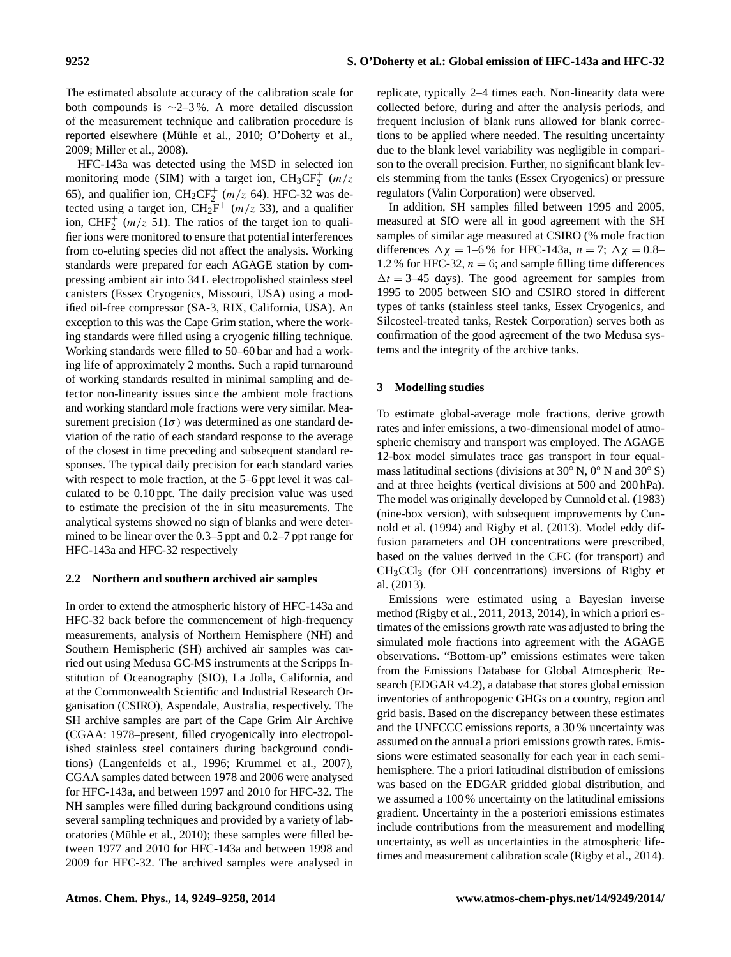The estimated absolute accuracy of the calibration scale for both compounds is ∼2–3 %. A more detailed discussion of the measurement technique and calibration procedure is reported elsewhere (Mühle et al., 2010; O'Doherty et al., 2009; Miller et al., 2008).

HFC-143a was detected using the MSD in selected ion monitoring mode (SIM) with a target ion,  $CH_3CF_2^+$  (m/z 65), and qualifier ion,  $\text{CH}_2\text{CF}_2^+$  ( $m/z$  64). HFC-32 was detected using a target ion,  $\text{CH}_2\text{F}^+$  (m/z 33), and a qualifier ion, CHF<sub>2</sub><sup>+</sup> ( $m/z$  51). The ratios of the target ion to qualifier ions were monitored to ensure that potential interferences from co-eluting species did not affect the analysis. Working standards were prepared for each AGAGE station by compressing ambient air into 34 L electropolished stainless steel canisters (Essex Cryogenics, Missouri, USA) using a modified oil-free compressor (SA-3, RIX, California, USA). An exception to this was the Cape Grim station, where the working standards were filled using a cryogenic filling technique. Working standards were filled to 50–60 bar and had a working life of approximately 2 months. Such a rapid turnaround of working standards resulted in minimal sampling and detector non-linearity issues since the ambient mole fractions and working standard mole fractions were very similar. Measurement precision ( $1\sigma$ ) was determined as one standard deviation of the ratio of each standard response to the average of the closest in time preceding and subsequent standard responses. The typical daily precision for each standard varies with respect to mole fraction, at the 5–6 ppt level it was calculated to be 0.10 ppt. The daily precision value was used to estimate the precision of the in situ measurements. The analytical systems showed no sign of blanks and were determined to be linear over the 0.3–5 ppt and 0.2–7 ppt range for HFC-143a and HFC-32 respectively

# **2.2 Northern and southern archived air samples**

In order to extend the atmospheric history of HFC-143a and HFC-32 back before the commencement of high-frequency measurements, analysis of Northern Hemisphere (NH) and Southern Hemispheric (SH) archived air samples was carried out using Medusa GC-MS instruments at the Scripps Institution of Oceanography (SIO), La Jolla, California, and at the Commonwealth Scientific and Industrial Research Organisation (CSIRO), Aspendale, Australia, respectively. The SH archive samples are part of the Cape Grim Air Archive (CGAA: 1978–present, filled cryogenically into electropolished stainless steel containers during background conditions) (Langenfelds et al., 1996; Krummel et al., 2007), CGAA samples dated between 1978 and 2006 were analysed for HFC-143a, and between 1997 and 2010 for HFC-32. The NH samples were filled during background conditions using several sampling techniques and provided by a variety of laboratories (Mühle et al., 2010); these samples were filled between 1977 and 2010 for HFC-143a and between 1998 and 2009 for HFC-32. The archived samples were analysed in replicate, typically 2–4 times each. Non-linearity data were collected before, during and after the analysis periods, and frequent inclusion of blank runs allowed for blank corrections to be applied where needed. The resulting uncertainty due to the blank level variability was negligible in comparison to the overall precision. Further, no significant blank levels stemming from the tanks (Essex Cryogenics) or pressure regulators (Valin Corporation) were observed.

In addition, SH samples filled between 1995 and 2005, measured at SIO were all in good agreement with the SH samples of similar age measured at CSIRO (% mole fraction differences  $\Delta \chi = 1$ –6% for HFC-143a,  $n = 7$ ;  $\Delta \chi = 0.8$ – 1.2 % for HFC-32,  $n = 6$ ; and sample filling time differences  $\Delta t = 3-45$  days). The good agreement for samples from 1995 to 2005 between SIO and CSIRO stored in different types of tanks (stainless steel tanks, Essex Cryogenics, and Silcosteel-treated tanks, Restek Corporation) serves both as confirmation of the good agreement of the two Medusa systems and the integrity of the archive tanks.

# **3 Modelling studies**

To estimate global-average mole fractions, derive growth rates and infer emissions, a two-dimensional model of atmospheric chemistry and transport was employed. The AGAGE 12-box model simulates trace gas transport in four equalmass latitudinal sections (divisions at  $30°$  N,  $0°$  N and  $30°$  S) and at three heights (vertical divisions at 500 and 200 hPa). The model was originally developed by Cunnold et al. (1983) (nine-box version), with subsequent improvements by Cunnold et al. (1994) and Rigby et al. (2013). Model eddy diffusion parameters and OH concentrations were prescribed, based on the values derived in the CFC (for transport) and  $CH<sub>3</sub>CCl<sub>3</sub>$  (for OH concentrations) inversions of Rigby et al. (2013).

Emissions were estimated using a Bayesian inverse method (Rigby et al., 2011, 2013, 2014), in which a priori estimates of the emissions growth rate was adjusted to bring the simulated mole fractions into agreement with the AGAGE observations. "Bottom-up" emissions estimates were taken from the Emissions Database for Global Atmospheric Research (EDGAR v4.2), a database that stores global emission inventories of anthropogenic GHGs on a country, region and grid basis. Based on the discrepancy between these estimates and the UNFCCC emissions reports, a 30 % uncertainty was assumed on the annual a priori emissions growth rates. Emissions were estimated seasonally for each year in each semihemisphere. The a priori latitudinal distribution of emissions was based on the EDGAR gridded global distribution, and we assumed a 100 % uncertainty on the latitudinal emissions gradient. Uncertainty in the a posteriori emissions estimates include contributions from the measurement and modelling uncertainty, as well as uncertainties in the atmospheric lifetimes and measurement calibration scale (Rigby et al., 2014).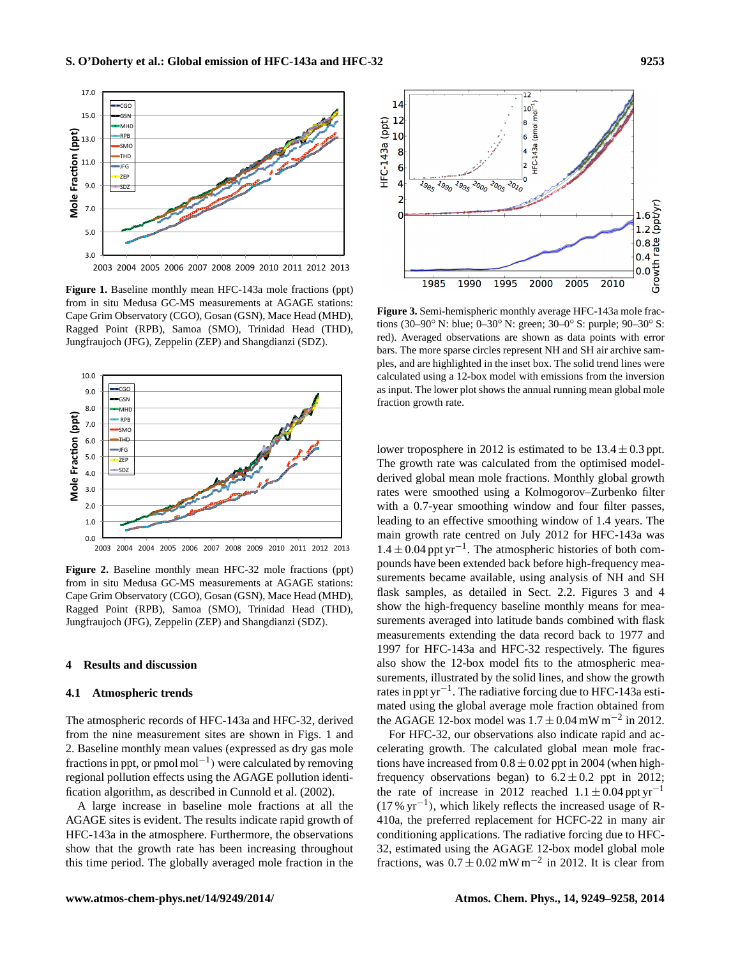

 $\mathbf{H}$ Jungfraujoch (JFG), Zeppelin (ZEP) and Shangdianzi (SDZ). **Figure 1.** Baseline monthly mean HFC-143a mole fractions (ppt) from in situ Medusa GC-MS measurements at AGAGE stations: Cape Grim Observatory (CGO), Gosan (GSN), Mace Head (MHD), Ragged Point (RPB), Samoa (SMO), Trinidad Head (THD),  $\overline{\mathsf{J}}$ 



**Figure 2.** Baseline monthly mean HFC-32 mole fractions (ppt) from in situ Medusa GC-MS measurements at AGAGE stations: Cape Grim Observatory (CGO), Gosan (GSN), Mace Head (MHD), Ragged Point (RPB), Samoa (SMO), Trinidad Head (THD), Jungfraujoch (JFG), Zeppelin (ZEP) and Shangdianzi (SDZ).

## **4 Results and discussion**

#### **4.1 Atmospheric trends**

The atmospheric records of HFC-143a and HFC-32, derived from the nine measurement sites are shown in Figs. 1 and 2. Baseline monthly mean values (expressed as dry gas mole fractions in ppt, or pmol mol<sup>-1</sup>) were calculated by removing regional pollution effects using the AGAGE pollution identification algorithm, as described in Cunnold et al. (2002).

A large increase in baseline mole fractions at all the AGAGE sites is evident. The results indicate rapid growth of HFC-143a in the atmosphere. Furthermore, the observations show that the growth rate has been increasing throughout this time period. The globally averaged mole fraction in the



**Figure 3.** Semi-hemispheric monthly average HFC-143a mole fractions (30–90◦ N: blue; 0–30◦ N: green; 30–0◦ S: purple; 90–30◦ S: red). Averaged observations are shown as data points with error bars. The more sparse circles represent NH and SH air archive samples, and are highlighted in the inset box. The solid trend lines were calculated using a 12-box model with emissions from the inversion as input. The lower plot shows the annual running mean global mole fraction growth rate.

lower troposphere in 2012 is estimated to be  $13.4 \pm 0.3$  ppt. The growth rate was calculated from the optimised modelderived global mean mole fractions. Monthly global growth rates were smoothed using a Kolmogorov–Zurbenko filter with a 0.7-year smoothing window and four filter passes, leading to an effective smoothing window of 1.4 years. The main growth rate centred on July 2012 for HFC-143a was  $1.4 \pm 0.04$  ppt yr<sup>-1</sup>. The atmospheric histories of both compounds have been extended back before high-frequency measurements became available, using analysis of NH and SH flask samples, as detailed in Sect. 2.2. Figures 3 and 4 show the high-frequency baseline monthly means for measurements averaged into latitude bands combined with flask measurements extending the data record back to 1977 and 1997 for HFC-143a and HFC-32 respectively. The figures also show the 12-box model fits to the atmospheric measurements, illustrated by the solid lines, and show the growth rates in ppt yr−<sup>1</sup> . The radiative forcing due to HFC-143a estimated using the global average mole fraction obtained from the AGAGE 12-box model was  $1.7 \pm 0.04$  mW m<sup>-2</sup> in 2012.

For HFC-32, our observations also indicate rapid and accelerating growth. The calculated global mean mole fractions have increased from  $0.8 \pm 0.02$  ppt in 2004 (when highfrequency observations began) to  $6.2 \pm 0.2$  ppt in 2012; the rate of increase in 2012 reached  $1.1 \pm 0.04$  ppt yr<sup>-1</sup> (17 % yr−<sup>1</sup> ), which likely reflects the increased usage of R-410a, the preferred replacement for HCFC-22 in many air conditioning applications. The radiative forcing due to HFC-32, estimated using the AGAGE 12-box model global mole fractions, was  $0.7 \pm 0.02$  mW m<sup>-2</sup> in 2012. It is clear from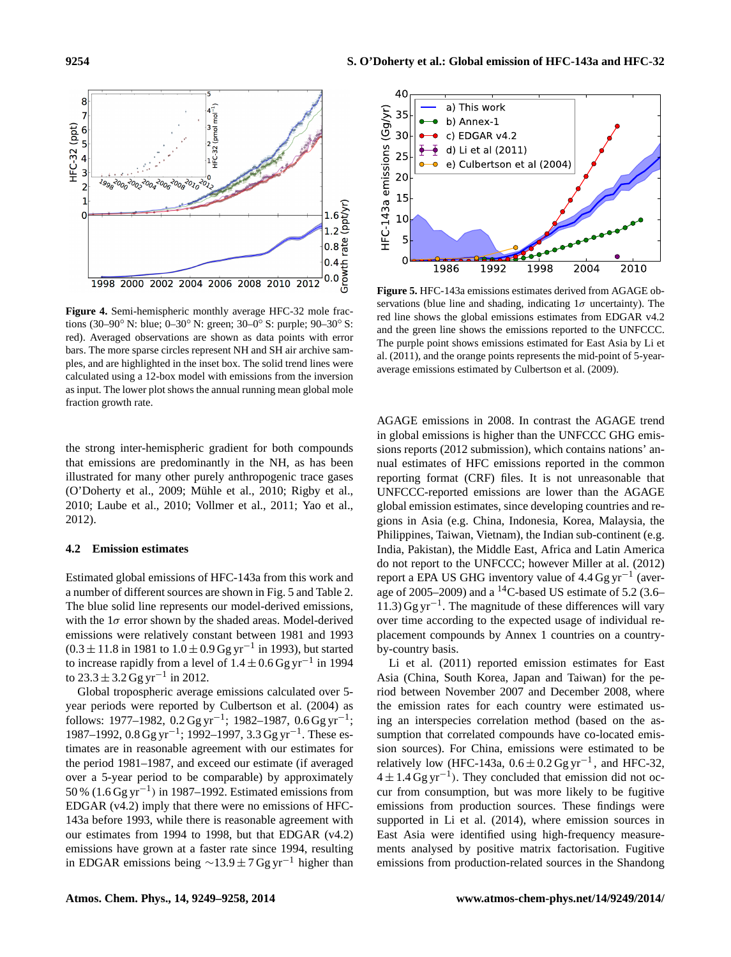

**Figure 4.** Semi-hemispheric monthly average HFC-32 mole fractions (30–90◦ N: blue; 0–30◦ N: green; 30–0◦ S: purple; 90–30◦ S: red). Averaged observations are shown as data points with error bars. The more sparse circles represent NH and SH air archive samples, and are highlighted in the inset box. The solid trend lines were calculated using a 12-box model with emissions from the inversion as input. The lower plot shows the annual running mean global mole fraction growth rate.

the strong inter-hemispheric gradient for both compounds that emissions are predominantly in the NH, as has been illustrated for many other purely anthropogenic trace gases (O'Doherty et al., 2009; Mühle et al., 2010; Rigby et al., 2010; Laube et al., 2010; Vollmer et al., 2011; Yao et al., 2012).

## **4.2 Emission estimates**

Estimated global emissions of HFC-143a from this work and a number of different sources are shown in Fig. 5 and Table 2. The blue solid line represents our model-derived emissions, with the  $1\sigma$  error shown by the shaded areas. Model-derived emissions were relatively constant between 1981 and 1993  $(0.3 \pm 11.8 \text{ in } 1981 \text{ to } 1.0 \pm 0.9 \text{ Gg yr}^{-1} \text{ in } 1993)$ , but started to increase rapidly from a level of  $1.4 \pm 0.6$  Gg yr<sup>-1</sup> in 1994 to  $23.3 \pm 3.2$  Gg yr<sup>-1</sup> in 2012.

Global tropospheric average emissions calculated over 5 year periods were reported by Culbertson et al. (2004) as follows: 1977–1982, 0.2 Gg yr<sup>-1</sup>; 1982–1987, 0.6 Gg yr<sup>-1</sup>; 1987–1992, 0.8 Gg yr<sup>-1</sup>; 1992–1997, 3.3 Gg yr<sup>-1</sup>. These estimates are in reasonable agreement with our estimates for the period 1981–1987, and exceed our estimate (if averaged over a 5-year period to be comparable) by approximately 50 % (1.6 Gg yr−<sup>1</sup> ) in 1987–1992. Estimated emissions from EDGAR (v4.2) imply that there were no emissions of HFC-143a before 1993, while there is reasonable agreement with our estimates from 1994 to 1998, but that EDGAR (v4.2) emissions have grown at a faster rate since 1994, resulting in EDGAR emissions being  $\sim$ 13.9 ± 7 Gg yr<sup>-1</sup> higher than



**Figure 5.** HFC-143a emissions estimates derived from AGAGE observations (blue line and shading, indicating  $1\sigma$  uncertainty). The red line shows the global emissions estimates from EDGAR v4.2 and the green line shows the emissions reported to the UNFCCC. The purple point shows emissions estimated for East Asia by Li et al. (2011), and the orange points represents the mid-point of 5-yearaverage emissions estimated by Culbertson et al. (2009).

AGAGE emissions in 2008. In contrast the AGAGE trend in global emissions is higher than the UNFCCC GHG emissions reports (2012 submission), which contains nations' annual estimates of HFC emissions reported in the common reporting format (CRF) files. It is not unreasonable that UNFCCC-reported emissions are lower than the AGAGE global emission estimates, since developing countries and regions in Asia (e.g. China, Indonesia, Korea, Malaysia, the Philippines, Taiwan, Vietnam), the Indian sub-continent (e.g. India, Pakistan), the Middle East, Africa and Latin America do not report to the UNFCCC; however Miller at al. (2012) report a EPA US GHG inventory value of 4.4 Gg yr<sup>-1</sup> (average of 2005–2009) and a <sup>14</sup>C-based US estimate of 5.2 (3.6– 11.3) Gg yr−<sup>1</sup> . The magnitude of these differences will vary over time according to the expected usage of individual replacement compounds by Annex 1 countries on a countryby-country basis.

Li et al. (2011) reported emission estimates for East Asia (China, South Korea, Japan and Taiwan) for the period between November 2007 and December 2008, where the emission rates for each country were estimated using an interspecies correlation method (based on the assumption that correlated compounds have co-located emission sources). For China, emissions were estimated to be relatively low (HFC-143a,  $0.6 \pm 0.2$  Gg yr<sup>-1</sup>, and HFC-32,  $4 \pm 1.4$  Gg yr<sup>-1</sup>). They concluded that emission did not occur from consumption, but was more likely to be fugitive emissions from production sources. These findings were supported in Li et al. (2014), where emission sources in East Asia were identified using high-frequency measurements analysed by positive matrix factorisation. Fugitive emissions from production-related sources in the Shandong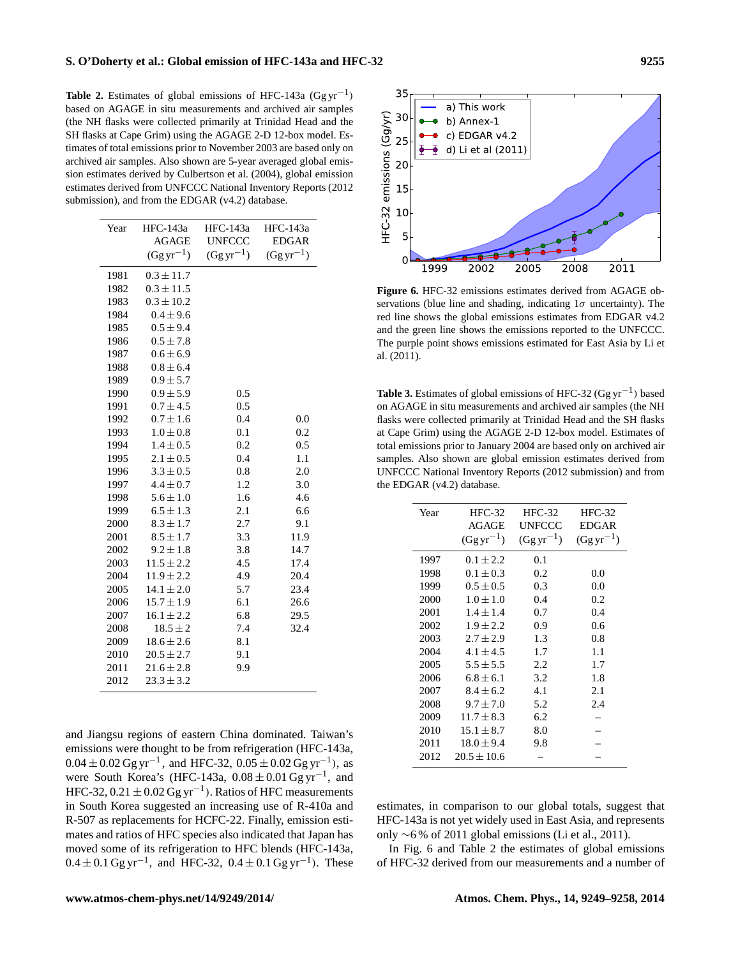**Table 2.** Estimates of global emissions of HFC-143a  $(Ggyr^{-1})$ based on AGAGE in situ measurements and archived air samples (the NH flasks were collected primarily at Trinidad Head and the SH flasks at Cape Grim) using the AGAGE 2-D 12-box model. Estimates of total emissions prior to November 2003 are based only on archived air samples. Also shown are 5-year averaged global emission estimates derived by Culbertson et al. (2004), global emission estimates derived from UNFCCC National Inventory Reports (2012 submission), and from the EDGAR (v4.2) database.

| Year | HFC-143a       | <b>HFC-143a</b> | HFC-143a      |
|------|----------------|-----------------|---------------|
|      | <b>AGAGE</b>   | <b>UNFCCC</b>   | <b>EDGAR</b>  |
|      | $(Ggyr^{-1})$  | $(Ggyr^{-1})$   | $(Ggyr^{-1})$ |
| 1981 | $0.3 \pm 11.7$ |                 |               |
| 1982 | $0.3 \pm 11.5$ |                 |               |
| 1983 | $0.3 \pm 10.2$ |                 |               |
| 1984 | $0.4 \pm 9.6$  |                 |               |
| 1985 | $0.5 \pm 9.4$  |                 |               |
| 1986 | $0.5 \pm 7.8$  |                 |               |
| 1987 | $0.6 \pm 6.9$  |                 |               |
| 1988 | $0.8 \pm 6.4$  |                 |               |
| 1989 | $0.9 \pm 5.7$  |                 |               |
| 1990 | $0.9 \pm 5.9$  | 0.5             |               |
| 1991 | $0.7 \pm 4.5$  | 0.5             |               |
| 1992 | $0.7 \pm 1.6$  | 0.4             | 0.0           |
| 1993 | $1.0 \pm 0.8$  | 0.1             | 0.2           |
| 1994 | $1.4 \pm 0.5$  | 0.2             | 0.5           |
| 1995 | $2.1 \pm 0.5$  | 0.4             | 1.1           |
| 1996 | $3.3 \pm 0.5$  | 0.8             | 2.0           |
| 1997 | $4.4 \pm 0.7$  | 1.2             | 3.0           |
| 1998 | $5.6 \pm 1.0$  | 1.6             | 4.6           |
| 1999 | $6.5 \pm 1.3$  | 2.1             | 6.6           |
| 2000 | $8.3 \pm 1.7$  | 2.7             | 9.1           |
| 2001 | $8.5 \pm 1.7$  | 3.3             | 11.9          |
| 2002 | $9.2 \pm 1.8$  | 3.8             | 14.7          |
| 2003 | $11.5 \pm 2.2$ | 4.5             | 17.4          |
| 2004 | $11.9 \pm 2.2$ | 4.9             | 20.4          |
| 2005 | $14.1 \pm 2.0$ | 5.7             | 23.4          |
| 2006 | $15.7 \pm 1.9$ | 6.1             | 26.6          |
| 2007 | $16.1 \pm 2.2$ | 6.8             | 29.5          |
| 2008 | $18.5 \pm 2$   | 7.4             | 32.4          |
| 2009 | $18.6 \pm 2.6$ | 8.1             |               |
| 2010 | $20.5 \pm 2.7$ | 9.1             |               |
| 2011 | $21.6 \pm 2.8$ | 9.9             |               |
| 2012 | $23.3 \pm 3.2$ |                 |               |

and Jiangsu regions of eastern China dominated. Taiwan's emissions were thought to be from refrigeration (HFC-143a,  $0.04 \pm 0.02$  Gg yr<sup>-1</sup>, and HFC-32,  $0.05 \pm 0.02$  Gg yr<sup>-1</sup>), as were South Korea's (HFC-143a,  $0.08 \pm 0.01$  Gg yr<sup>-1</sup>, and HFC-32,  $0.21 \pm 0.02$  Gg yr<sup>-1</sup>). Ratios of HFC measurements in South Korea suggested an increasing use of R-410a and R-507 as replacements for HCFC-22. Finally, emission estimates and ratios of HFC species also indicated that Japan has moved some of its refrigeration to HFC blends (HFC-143a,  $0.4 \pm 0.1$  Gg yr<sup>-1</sup>, and HFC-32,  $0.4 \pm 0.1$  Gg yr<sup>-1</sup>). These



**Figure 6.** HFC-32 emissions estimates derived from AGAGE observations (blue line and shading, indicating  $1\sigma$  uncertainty). The red line shows the global emissions estimates from EDGAR v4.2 and the green line shows the emissions reported to the UNFCCC. The purple point shows emissions estimated for East Asia by Li et al. (2011).

**Table 3.** Estimates of global emissions of HFC-32 ( $Ggyr^{-1}$ ) based on AGAGE in situ measurements and archived air samples (the NH flasks were collected primarily at Trinidad Head and the SH flasks at Cape Grim) using the AGAGE 2-D 12-box model. Estimates of total emissions prior to January 2004 are based only on archived air samples. Also shown are global emission estimates derived from UNFCCC National Inventory Reports (2012 submission) and from the EDGAR (v4.2) database.

| Year | $HEC-32$        | $HFC-32$      | $HFC-32$      |
|------|-----------------|---------------|---------------|
|      | AGAGE           | UNFCCC        | <b>EDGAR</b>  |
|      | $(Ggyr^{-1})$   | $(Ggyr^{-1})$ | $(Ggyr^{-1})$ |
| 1997 | $0.1 \pm 2.2$   | 0.1           |               |
| 1998 | $0.1 \pm 0.3$   | 0.2           | 0.0           |
| 1999 | $0.5 \pm 0.5$   | 0.3           | 0.0           |
| 2000 | $1.0 \pm 1.0$   | 0.4           | 0.2           |
| 2001 | $1.4 \pm 1.4$   | 0.7           | 0.4           |
| 2002 | $1.9 \pm 2.2$   | 0.9           | 0.6           |
| 2003 | $2.7 \pm 2.9$   | 1.3           | 0.8           |
| 2004 | $4.1 \pm 4.5$   | 1.7           | 1.1           |
| 2005 | $5.5 \pm 5.5$   | 2.2           | 1.7           |
| 2006 | $6.8 \pm 6.1$   | 3.2           | 1.8           |
| 2007 | $8.4 \pm 6.2$   | 4.1           | 2.1           |
| 2008 | $9.7 \pm 7.0$   | 5.2           | 2.4           |
| 2009 | $11.7 \pm 8.3$  | 6.2           |               |
| 2010 | $15.1 \pm 8.7$  | 8.0           |               |
| 2011 | $18.0 \pm 9.4$  | 9.8           |               |
| 2012 | $20.5 \pm 10.6$ |               |               |

estimates, in comparison to our global totals, suggest that HFC-143a is not yet widely used in East Asia, and represents only ∼6 % of 2011 global emissions (Li et al., 2011).

In Fig. 6 and Table 2 the estimates of global emissions of HFC-32 derived from our measurements and a number of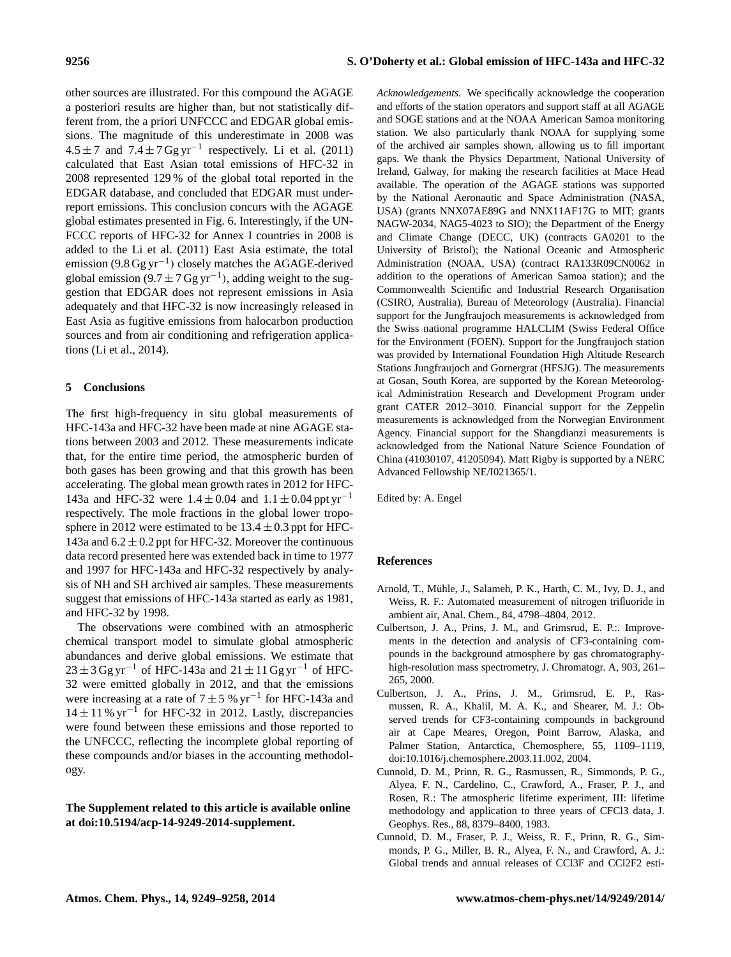other sources are illustrated. For this compound the AGAGE a posteriori results are higher than, but not statistically different from, the a priori UNFCCC and EDGAR global emissions. The magnitude of this underestimate in 2008 was  $4.5 \pm 7$  and  $7.4 \pm 7$  Gg yr<sup>-1</sup> respectively. Li et al. (2011) calculated that East Asian total emissions of HFC-32 in 2008 represented 129 % of the global total reported in the EDGAR database, and concluded that EDGAR must underreport emissions. This conclusion concurs with the AGAGE global estimates presented in Fig. 6. Interestingly, if the UN-FCCC reports of HFC-32 for Annex I countries in 2008 is added to the Li et al. (2011) East Asia estimate, the total emission (9.8  $Ggyr^{-1}$ ) closely matches the AGAGE-derived global emission (9.7  $\pm$  7 Gg yr<sup>-1</sup>), adding weight to the suggestion that EDGAR does not represent emissions in Asia adequately and that HFC-32 is now increasingly released in East Asia as fugitive emissions from halocarbon production sources and from air conditioning and refrigeration applications (Li et al., 2014).

## **5 Conclusions**

The first high-frequency in situ global measurements of HFC-143a and HFC-32 have been made at nine AGAGE stations between 2003 and 2012. These measurements indicate that, for the entire time period, the atmospheric burden of both gases has been growing and that this growth has been accelerating. The global mean growth rates in 2012 for HFC-143a and HFC-32 were  $1.4 \pm 0.04$  and  $1.1 \pm 0.04$  ppt yr<sup>-1</sup> respectively. The mole fractions in the global lower troposphere in 2012 were estimated to be  $13.4 \pm 0.3$  ppt for HFC-143a and  $6.2 \pm 0.2$  ppt for HFC-32. Moreover the continuous data record presented here was extended back in time to 1977 and 1997 for HFC-143a and HFC-32 respectively by analysis of NH and SH archived air samples. These measurements suggest that emissions of HFC-143a started as early as 1981, and HFC-32 by 1998.

The observations were combined with an atmospheric chemical transport model to simulate global atmospheric abundances and derive global emissions. We estimate that  $23 \pm 3$  Gg yr<sup>-1</sup> of HFC-143a and  $21 \pm 11$  Gg yr<sup>-1</sup> of HFC-32 were emitted globally in 2012, and that the emissions were increasing at a rate of  $7 \pm 5$  % yr<sup>-1</sup> for HFC-143a and 14 ± 11 % yr−<sup>1</sup> for HFC-32 in 2012. Lastly, discrepancies were found between these emissions and those reported to the UNFCCC, reflecting the incomplete global reporting of these compounds and/or biases in the accounting methodology.

# **The Supplement related to this article is available online at [doi:10.5194/acp-14-9249-2014-supplement.](http://dx.doi.org/10.5194/acp-14-9249-2014-supplement)**

*Acknowledgements.* We specifically acknowledge the cooperation and efforts of the station operators and support staff at all AGAGE and SOGE stations and at the NOAA American Samoa monitoring station. We also particularly thank NOAA for supplying some of the archived air samples shown, allowing us to fill important gaps. We thank the Physics Department, National University of Ireland, Galway, for making the research facilities at Mace Head available. The operation of the AGAGE stations was supported by the National Aeronautic and Space Administration (NASA, USA) (grants NNX07AE89G and NNX11AF17G to MIT; grants NAGW-2034, NAG5-4023 to SIO); the Department of the Energy and Climate Change (DECC, UK) (contracts GA0201 to the University of Bristol); the National Oceanic and Atmospheric Administration (NOAA, USA) (contract RA133R09CN0062 in addition to the operations of American Samoa station); and the Commonwealth Scientific and Industrial Research Organisation (CSIRO, Australia), Bureau of Meteorology (Australia). Financial support for the Jungfraujoch measurements is acknowledged from the Swiss national programme HALCLIM (Swiss Federal Office for the Environment (FOEN). Support for the Jungfraujoch station was provided by International Foundation High Altitude Research Stations Jungfraujoch and Gornergrat (HFSJG). The measurements at Gosan, South Korea, are supported by the Korean Meteorological Administration Research and Development Program under grant CATER 2012–3010. Financial support for the Zeppelin measurements is acknowledged from the Norwegian Environment Agency. Financial support for the Shangdianzi measurements is acknowledged from the National Nature Science Foundation of China (41030107, 41205094). Matt Rigby is supported by a NERC Advanced Fellowship NE/I021365/1.

Edited by: A. Engel

# **References**

- Arnold, T., Mühle, J., Salameh, P. K., Harth, C. M., Ivy, D. J., and Weiss, R. F.: Automated measurement of nitrogen trifluoride in ambient air, Anal. Chem., 84, 4798–4804, 2012.
- Culbertson, J. A., Prins, J. M., and Grimsrud, E. P.:. Improvements in the detection and analysis of CF3-containing compounds in the background atmosphere by gas chromatographyhigh-resolution mass spectrometry, J. Chromatogr. A, 903, 261– 265, 2000.
- Culbertson, J. A., Prins, J. M., Grimsrud, E. P., Rasmussen, R. A., Khalil, M. A. K., and Shearer, M. J.: Observed trends for CF3-containing compounds in background air at Cape Meares, Oregon, Point Barrow, Alaska, and Palmer Station, Antarctica, Chemosphere, 55, 1109–1119, doi[:10.1016/j.chemosphere.2003.11.002,](http://dx.doi.org/10.1016/j.chemosphere.2003.11.002) 2004.
- Cunnold, D. M., Prinn, R. G., Rasmussen, R., Simmonds, P. G., Alyea, F. N., Cardelino, C., Crawford, A., Fraser, P. J., and Rosen, R.: The atmospheric lifetime experiment, III: lifetime methodology and application to three years of CFCl3 data, J. Geophys. Res., 88, 8379–8400, 1983.
- Cunnold, D. M., Fraser, P. J., Weiss, R. F., Prinn, R. G., Simmonds, P. G., Miller, B. R., Alyea, F. N., and Crawford, A. J.: Global trends and annual releases of CCl3F and CCl2F2 esti-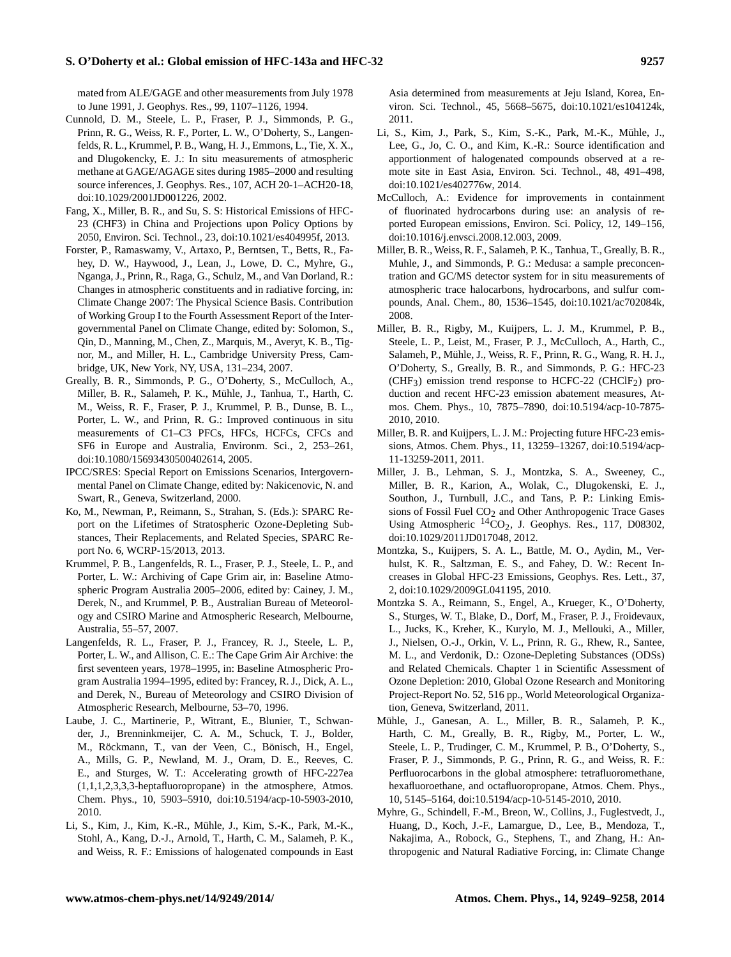## **S. O'Doherty et al.: Global emission of HFC-143a and HFC-32 9257**

mated from ALE/GAGE and other measurements from July 1978 to June 1991, J. Geophys. Res., 99, 1107–1126, 1994.

- Cunnold, D. M., Steele, L. P., Fraser, P. J., Simmonds, P. G., Prinn, R. G., Weiss, R. F., Porter, L. W., O'Doherty, S., Langenfelds, R. L., Krummel, P. B., Wang, H. J., Emmons, L., Tie, X. X., and Dlugokencky, E. J.: In situ measurements of atmospheric methane at GAGE/AGAGE sites during 1985–2000 and resulting source inferences, J. Geophys. Res., 107, ACH 20-1–ACH20-18, doi[:10.1029/2001JD001226,](http://dx.doi.org/10.1029/2001JD001226) 2002.
- Fang, X., Miller, B. R., and Su, S. S: Historical Emissions of HFC-23 (CHF3) in China and Projections upon Policy Options by 2050, Environ. Sci. Technol., 23, doi[:10.1021/es404995f,](http://dx.doi.org/10.1021/es404995f) 2013.
- Forster, P., Ramaswamy, V., Artaxo, P., Berntsen, T., Betts, R., Fahey, D. W., Haywood, J., Lean, J., Lowe, D. C., Myhre, G., Nganga, J., Prinn, R., Raga, G., Schulz, M., and Van Dorland, R.: Changes in atmospheric constituents and in radiative forcing, in: Climate Change 2007: The Physical Science Basis. Contribution of Working Group I to the Fourth Assessment Report of the Intergovernmental Panel on Climate Change, edited by: Solomon, S., Qin, D., Manning, M., Chen, Z., Marquis, M., Averyt, K. B., Tignor, M., and Miller, H. L., Cambridge University Press, Cambridge, UK, New York, NY, USA, 131–234, 2007.
- Greally, B. R., Simmonds, P. G., O'Doherty, S., McCulloch, A., Miller, B. R., Salameh, P. K., Mühle, J., Tanhua, T., Harth, C. M., Weiss, R. F., Fraser, P. J., Krummel, P. B., Dunse, B. L., Porter, L. W., and Prinn, R. G.: Improved continuous in situ measurements of C1–C3 PFCs, HFCs, HCFCs, CFCs and SF6 in Europe and Australia, Environm. Sci., 2, 253–261, doi[:10.1080/15693430500402614,](http://dx.doi.org/10.1080/15693430500402614) 2005.
- IPCC/SRES: Special Report on Emissions Scenarios, Intergovernmental Panel on Climate Change, edited by: Nakicenovic, N. and Swart, R., Geneva, Switzerland, 2000.
- Ko, M., Newman, P., Reimann, S., Strahan, S. (Eds.): SPARC Report on the Lifetimes of Stratospheric Ozone-Depleting Substances, Their Replacements, and Related Species, SPARC Report No. 6, WCRP-15/2013, 2013.
- Krummel, P. B., Langenfelds, R. L., Fraser, P. J., Steele, L. P., and Porter, L. W.: Archiving of Cape Grim air, in: Baseline Atmospheric Program Australia 2005–2006, edited by: Cainey, J. M., Derek, N., and Krummel, P. B., Australian Bureau of Meteorology and CSIRO Marine and Atmospheric Research, Melbourne, Australia, 55–57, 2007.
- Langenfelds, R. L., Fraser, P. J., Francey, R. J., Steele, L. P., Porter, L. W., and Allison, C. E.: The Cape Grim Air Archive: the first seventeen years, 1978–1995, in: Baseline Atmospheric Program Australia 1994–1995, edited by: Francey, R. J., Dick, A. L., and Derek, N., Bureau of Meteorology and CSIRO Division of Atmospheric Research, Melbourne, 53–70, 1996.
- Laube, J. C., Martinerie, P., Witrant, E., Blunier, T., Schwander, J., Brenninkmeijer, C. A. M., Schuck, T. J., Bolder, M., Röckmann, T., van der Veen, C., Bönisch, H., Engel, A., Mills, G. P., Newland, M. J., Oram, D. E., Reeves, C. E., and Sturges, W. T.: Accelerating growth of HFC-227ea (1,1,1,2,3,3,3-heptafluoropropane) in the atmosphere, Atmos. Chem. Phys., 10, 5903–5910, doi[:10.5194/acp-10-5903-2010,](http://dx.doi.org/10.5194/acp-10-5903-2010) 2010.
- Li, S., Kim, J., Kim, K.-R., Mühle, J., Kim, S.-K., Park, M.-K., Stohl, A., Kang, D.-J., Arnold, T., Harth, C. M., Salameh, P. K., and Weiss, R. F.: Emissions of halogenated compounds in East

Asia determined from measurements at Jeju Island, Korea, Environ. Sci. Technol., 45, 5668–5675, doi[:10.1021/es104124k,](http://dx.doi.org/10.1021/es104124k) 2011.

- Li, S., Kim, J., Park, S., Kim, S.-K., Park, M.-K., Mühle, J., Lee, G., Jo, C. O., and Kim, K.-R.: Source identification and apportionment of halogenated compounds observed at a remote site in East Asia, Environ. Sci. Technol., 48, 491–498, doi[:10.1021/es402776w,](http://dx.doi.org/10.1021/es402776w) 2014.
- McCulloch, A.: Evidence for improvements in containment of fluorinated hydrocarbons during use: an analysis of reported European emissions, Environ. Sci. Policy, 12, 149–156, doi[:10.1016/j.envsci.2008.12.003,](http://dx.doi.org/10.1016/j.envsci.2008.12.003) 2009.
- Miller, B. R., Weiss, R. F., Salameh, P. K., Tanhua, T., Greally, B. R., Muhle, J., and Simmonds, P. G.: Medusa: a sample preconcentration and GC/MS detector system for in situ measurements of atmospheric trace halocarbons, hydrocarbons, and sulfur compounds, Anal. Chem., 80, 1536–1545, doi[:10.1021/ac702084k,](http://dx.doi.org/10.1021/ac702084k) 2008.
- Miller, B. R., Rigby, M., Kuijpers, L. J. M., Krummel, P. B., Steele, L. P., Leist, M., Fraser, P. J., McCulloch, A., Harth, C., Salameh, P., Mühle, J., Weiss, R. F., Prinn, R. G., Wang, R. H. J., O'Doherty, S., Greally, B. R., and Simmonds, P. G.: HFC-23  $(CHF<sub>3</sub>)$  emission trend response to HCFC-22 (CHClF<sub>2</sub>) production and recent HFC-23 emission abatement measures, Atmos. Chem. Phys., 10, 7875–7890, doi[:10.5194/acp-10-7875-](http://dx.doi.org/10.5194/acp-10-7875-2010) [2010,](http://dx.doi.org/10.5194/acp-10-7875-2010) 2010.
- Miller, B. R. and Kuijpers, L. J. M.: Projecting future HFC-23 emissions, Atmos. Chem. Phys., 11, 13259–13267, doi:10.5194/acp-11-13259-2011, 2011.
- Miller, J. B., Lehman, S. J., Montzka, S. A., Sweeney, C., Miller, B. R., Karion, A., Wolak, C., Dlugokenski, E. J., Southon, J., Turnbull, J.C., and Tans, P. P.: Linking Emissions of Fossil Fuel CO<sub>2</sub> and Other Anthropogenic Trace Gases Using Atmospheric  ${}^{14}CO_2$ , J. Geophys. Res., 117, D08302, doi[:10.1029/2011JD017048,](http://dx.doi.org/10.1029/2011JD017048) 2012.
- Montzka, S., Kuijpers, S. A. L., Battle, M. O., Aydin, M., Verhulst, K. R., Saltzman, E. S., and Fahey, D. W.: Recent Increases in Global HFC-23 Emissions, Geophys. Res. Lett., 37, 2, doi[:10.1029/2009GL041195,](http://dx.doi.org/10.1029/2009GL041195) 2010.
- Montzka S. A., Reimann, S., Engel, A., Krueger, K., O'Doherty, S., Sturges, W. T., Blake, D., Dorf, M., Fraser, P. J., Froidevaux, L., Jucks, K., Kreher, K., Kurylo, M. J., Mellouki, A., Miller, J., Nielsen, O.-J., Orkin, V. L., Prinn, R. G., Rhew, R., Santee, M. L., and Verdonik, D.: Ozone-Depleting Substances (ODSs) and Related Chemicals. Chapter 1 in Scientific Assessment of Ozone Depletion: 2010, Global Ozone Research and Monitoring Project-Report No. 52, 516 pp., World Meteorological Organization, Geneva, Switzerland, 2011.
- Mühle, J., Ganesan, A. L., Miller, B. R., Salameh, P. K., Harth, C. M., Greally, B. R., Rigby, M., Porter, L. W., Steele, L. P., Trudinger, C. M., Krummel, P. B., O'Doherty, S., Fraser, P. J., Simmonds, P. G., Prinn, R. G., and Weiss, R. F.: Perfluorocarbons in the global atmosphere: tetrafluoromethane, hexafluoroethane, and octafluoropropane, Atmos. Chem. Phys., 10, 5145–5164, doi[:10.5194/acp-10-5145-2010,](http://dx.doi.org/10.5194/acp-10-5145-2010) 2010.
- Myhre, G., Schindell, F.-M., Breon, W., Collins, J., Fuglestvedt, J., Huang, D., Koch, J.-F., Lamargue, D., Lee, B., Mendoza, T., Nakajima, A., Robock, G., Stephens, T., and Zhang, H.: Anthropogenic and Natural Radiative Forcing, in: Climate Change